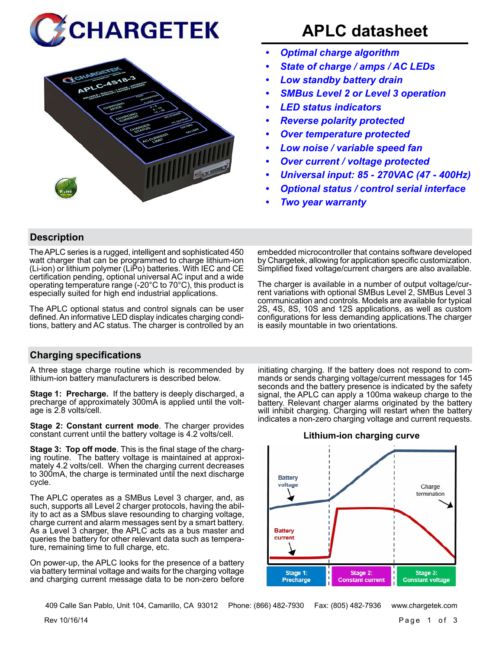



# **APLC datasheet**

- *• Optimal charge algorithm*
- *• State of charge / amps / AC LEDs*
- *• Low standby battery drain*
- *• SMBus Level 2 or Level 3 operation*
- *• LED status indicators*
- *• Reverse polarity protected*
- *• Over temperature protected*
- *• Low noise / variable speed fan*
- *• Over current / voltage protected*
- *• Universal input: 85 270VAC (47 400Hz)*
- *• Optional status / control serial interface*
- *• Two year warranty*

# **Description**

The APLC series is a rugged, intelligent and sophisticated 450 watt charger that can be programmed to charge lithium-ion (Li-ion) or lithium polymer (LiPo) batteries. With IEC and CE certification pending, optional universal AC input and a wide operating temperature range (-20°C to 70°C), this product is especially suited for high end industrial applications.

The APLC optional status and control signals can be user defined. An informative LED display indicates charging conditions, battery and AC status. The charger is controlled by an embedded microcontroller that contains software developed by Chargetek, allowing for application specific customization. Simplified fixed voltage/current chargers are also available.

The charger is available in a number of output voltage/current variations with optional SMBus Level 2, SMBus Level 3 communication and controls. Models are available for typical 2S, 4S, 8S, 10S and 12S applications, as well as custom configurations for less demanding applications.The charger is easily mountable in two orientations.

# **Charging specifications**

A three stage charge routine which is recommended by lithium-ion battery manufacturers is described below.

**Stage 1: Precharge.** If the battery is deeply discharged, a precharge of approximately 300mA is applied until the voltage is 2.8 volts/cell.

**Stage 2: Constant current mode**. The charger provides constant current until the battery voltage is 4.2 volts/cell.

**Stage 3: Top off mode**. This is the final stage of the charging routine. The battery voltage is maintained at approximately 4.2 volts/cell. When the charging current decreases to 300mA, the charge is terminated until the next discharge cycle.

The APLC operates as a SMBus Level 3 charger, and, as such, supports all Level 2 charger protocols, having the ability to act as a SMbus slave resounding to charging voltage, charge current and alarm messages sent by a smart battery. As a Level 3 charger, the APLC acts as a bus master and queries the battery for other relevant data such as temperature, remaining time to full charge, etc.

On power-up, the APLC looks for the presence of a battery via battery terminal voltage and waits for the charging voltage and charging current message data to be non-zero before initiating charging. If the battery does not respond to commands or sends charging voltage/current messages for 145 seconds and the battery presence is indicated by the safety signal, the APLC can apply a 100ma wakeup charge to the battery. Relevant charger alarms originated by the battery will inhibit charging. Charging will restart when the battery indicates a non-zero charging voltage and current requests.

#### **Lithium-ion charging curve**



409 Calle San Pablo, Unit 104, Camarillo, CA 93012 Phone: (866) 482-7930 Fax: (805) 482-7936 www.chargetek.com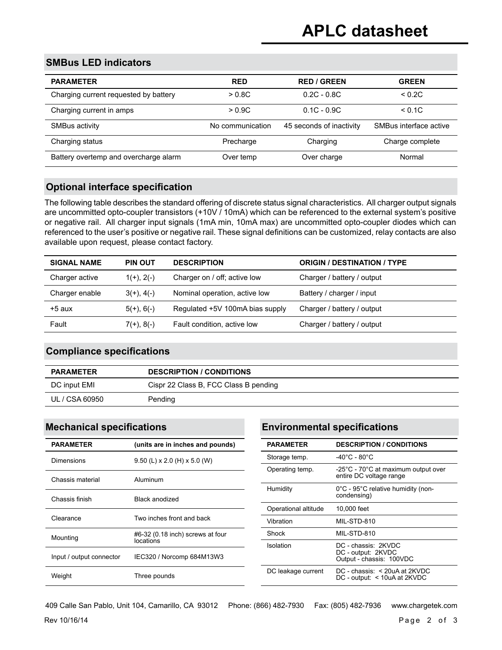# **SMBus LED indicators**

| <b>PARAMETER</b>                      | <b>RED</b>       | <b>RED / GREEN</b>       | <b>GREEN</b>           |
|---------------------------------------|------------------|--------------------------|------------------------|
| Charging current requested by battery | > 0.8C           | $0.2C - 0.8C$            | < 0.2C                 |
| Charging current in amps              | > 0.9C           | $0.1C - 0.9C$            | < 0.1C                 |
| SMBus activity                        | No communication | 45 seconds of inactivity | SMBus interface active |
| Charging status                       | Precharge        | Charging                 | Charge complete        |
| Battery overtemp and overcharge alarm | Over temp        | Over charge              | Normal                 |

### **Optional interface specification**

The following table describes the standard offering of discrete status signal characteristics. All charger output signals are uncommitted opto-coupler transistors (+10V / 10mA) which can be referenced to the external system's positive or negative rail. All charger input signals (1mA min, 10mA max) are uncommitted opto-coupler diodes which can referenced to the user's positive or negative rail. These signal definitions can be customized, relay contacts are also available upon request, please contact factory.

| <b>SIGNAL NAME</b> | <b>PIN OUT</b>  | <b>DESCRIPTION</b>              | <b>ORIGIN / DESTINATION / TYPE</b> |
|--------------------|-----------------|---------------------------------|------------------------------------|
| Charger active     | $1(+)$ , $2(-)$ | Charger on / off; active low    | Charger / battery / output         |
| Charger enable     | $3(+)$ , 4(-)   | Nominal operation, active low   | Battery / charger / input          |
| $+5$ aux           | $5(+)$ , 6(-)   | Regulated +5V 100mA bias supply | Charger / battery / output         |
| Fault              | $7(+), 8(-)$    | Fault condition, active low     | Charger / battery / output         |

#### **Compliance specifications**

| <b>PARAMETER</b> | <b>DESCRIPTION / CONDITIONS</b>       |
|------------------|---------------------------------------|
| DC input EMI     | Cispr 22 Class B, FCC Class B pending |
| UL / CSA 60950   | Pending                               |

| <b>PARAMETER</b>         | (units are in inches and pounds)              |
|--------------------------|-----------------------------------------------|
| Dimensions               | $9.50$ (L) x 2.0 (H) x 5.0 (W)                |
| Chassis material         | Aluminum                                      |
| Chassis finish           | <b>Black anodized</b>                         |
| Clearance                | Two inches front and back                     |
| Mounting                 | #6-32 (0.18 inch) screws at four<br>locations |
| Input / output connector | IEC320 / Norcomp 684M13W3                     |
| Weight                   | Three pounds                                  |

# **Mechanical specifications Environmental specifications**

| <b>PARAMETER</b>     | <b>DESCRIPTION / CONDITIONS</b>                                            |
|----------------------|----------------------------------------------------------------------------|
| Storage temp.        | -40°C - 80°C                                                               |
| Operating temp.      | -25°C - 70°C at maximum output over<br>entire DC voltage range             |
| Humidity             | 0°C - 95°C relative humidity (non-<br>condensing)                          |
| Operational altitude | 10,000 feet                                                                |
| Vibration            | MIL-STD-810                                                                |
| Shock                | MIL-STD-810                                                                |
| Isolation            | DC - chassis: 2KVDC<br>DC - output: 2KVDC<br>Output - chassis: 100VDC      |
| DC leakage current   | $DC - \text{chassis}: < 20uA$ at 2KVDC<br>$DC$ - output: $<$ 10uA at 2KVDC |

 $\frac{1}{2}$  Rev 10/16/14 Page 2 of 3 409 Calle San Pablo, Unit 104, Camarillo, CA 93012 Phone: (866) 482-7930 Fax: (805) 482-7936 www.chargetek.com